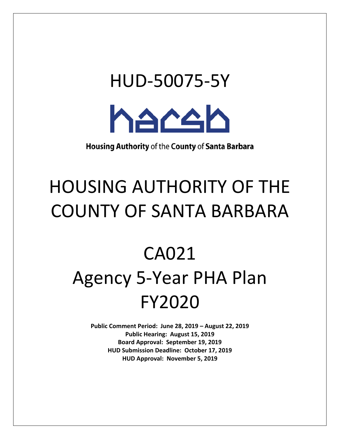# HUD-50075-5Y **haceb**

Housing Authority of the County of Santa Barbara

### HOUSING AUTHORITY OF THE COUNTY OF SANTA BARBARA

## CA021 Agency 5-Year PHA Plan FY2020

 **Public Comment Period: June 28, 2019 – August 22, 2019 Board Approval: September 19, 2019 HUD Submission Deadline: October 17, 2019 Public Hearing: August 15, 2019 HUD Approval: November 5, 2019**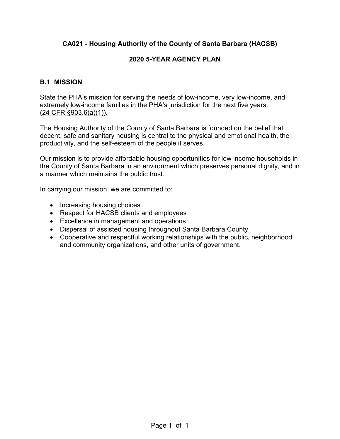#### **2020 5-YEAR AGENCY PLAN**

#### **B.1 MISSION**

 extremely low-income families in the PHA's jurisdiction for the next five years. State the PHA's mission for serving the needs of low-income, very low-income, and (24 CFR §903.6(a)(1)).

 decent, safe and sanitary housing is central to the physical and emotional health, the The Housing Authority of the County of Santa Barbara is founded on the belief that productivity, and the self-esteem of the people it serves.

 the County of Santa Barbara in an environment which preserves personal dignity, and in Our mission is to provide affordable housing opportunities for low income households in a manner which maintains the public trust.

In carrying our mission, we are committed to:

- Increasing housing choices
- Respect for HACSB clients and employees
- Excellence in management and operations
- Dispersal of assisted housing throughout Santa Barbara County
- Cooperative and respectful working relationships with the public, neighborhood and community organizations, and other units of government.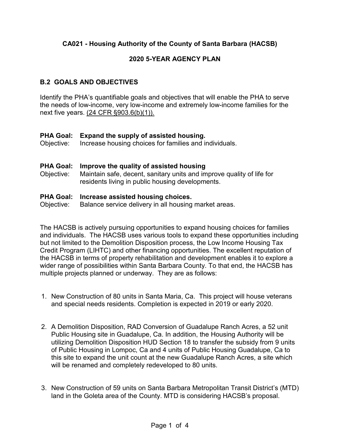#### **2020 5-YEAR AGENCY PLAN**

#### **B.2 GOALS AND OBJECTIVES**

Identify the PHA's quantifiable goals and objectives that will enable the PHA to serve the needs of low-income, very low-income and extremely low-income families for the next five years. (24 CFR §903.6(b)(1)).

Objective: Increase housing choices for families and individuals. **PHA Goal: Expand the supply of assisted housing.**<br>
Objective: Increase housing choices for families and in

#### **PHA Goal: Improve the quality of assisted housing**

Objective: Maintain safe, decent, sanitary units and improve quality of life for residents living in public housing developments.

#### **PHA Goal: Increase assisted housing choices.**

Objective: Balance service delivery in all housing market areas.

 and individuals. The HACSB uses various tools to expand these opportunities including but not limited to the Demolition Disposition process, the Low Income Housing Tax multiple projects planned or underway. They are as follows: The HACSB is actively pursuing opportunities to expand housing choices for families Credit Program (LIHTC) and other financing opportunities. The excellent reputation of the HACSB in terms of property rehabilitation and development enables it to explore a wider range of possibilities within Santa Barbara County. To that end, the HACSB has

- 1. New Construction of 80 units in Santa Maria, Ca. This project will house veterans and special needs residents. Completion is expected in 2019 or early 2020.
- 2. A Demolition Disposition, RAD Conversion of Guadalupe Ranch Acres, a 52 unit Public Housing site in Guadalupe, Ca. In addition, the Housing Authority will be utilizing Demolition Disposition HUD Section 18 to transfer the subsidy from 9 units of Public Housing in Lompoc, Ca and 4 units of Public Housing Guadalupe, Ca to this site to expand the unit count at the new Guadalupe Ranch Acres, a site which will be renamed and completely redeveloped to 80 units.
- 3. New Construction of 59 units on Santa Barbara Metropolitan Transit District's (MTD) land in the Goleta area of the County. MTD is considering HACSB's proposal.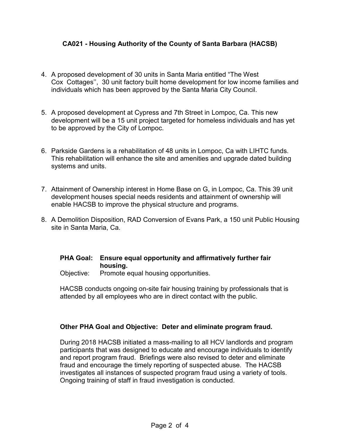- 4. A proposed development of 30 units in Santa Maria entitled "The West Cox Cottages'', 30 unit factory built home development for low income families and individuals which has been approved by the Santa Maria City Council.
- 5. A proposed development at Cypress and 7th Street in Lompoc, Ca. This new development will be a 15 unit project targeted for homeless individuals and has yet to be approved by the City of Lompoc.
- 6. Parkside Gardens is a rehabilitation of 48 units in Lompoc, Ca with LIHTC funds. This rehabilitation will enhance the site and amenities and upgrade dated building systems and units.
- 7. Attainment of Ownership interest in Home Base on G, in Lompoc, Ca. This 39 unit development houses special needs residents and attainment of ownership will enable HACSB to improve the physical structure and programs.
- 8. A Demolition Disposition, RAD Conversion of Evans Park, a 150 unit Public Housing site in Santa Maria, Ca.

#### **PHA Goal: Ensure equal opportunity and affirmatively further fair housing.**

Objective: Promote equal housing opportunities.

HACSB conducts ongoing on-site fair housing training by professionals that is attended by all employees who are in direct contact with the public.

#### **Other PHA Goal and Objective: Deter and eliminate program fraud.**

 and report program fraud. Briefings were also revised to deter and eliminate investigates all instances of suspected program fraud using a variety of tools.<br>Ongoing training of staff in fraud investigation is conducted. During 2018 HACSB initiated a mass-mailing to all HCV landlords and program participants that was designed to educate and encourage individuals to identify fraud and encourage the timely reporting of suspected abuse. The HACSB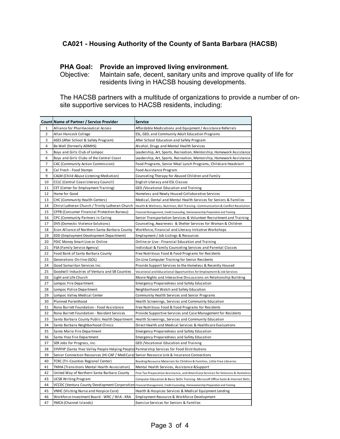#### **PHA Goal: Provide an improved living environment.**

Objective: Maintain safe, decent, sanitary units and improve quality of life for residents living in HACSB housing developments.

 The HACSB partners with a multitude of organizations to provide a number of onsite supportive services to HACSB residents, including:

|                | Count Name of Partner / Service Provider                                                     | Service                                                                                                                       |
|----------------|----------------------------------------------------------------------------------------------|-------------------------------------------------------------------------------------------------------------------------------|
| $\mathbf{1}$   | Alliance for Pharmaceutical Access                                                           | Affordable Medications and Equipment / Assistance Referrals                                                                   |
| $\overline{2}$ | Allan Hancock College                                                                        | ESL, GED, and Community Adult Education Programs                                                                              |
| 3              | ASES (After School & Safety Program)                                                         | After School Education and Safety Program                                                                                     |
| $\overline{4}$ | Be Well (formerly ADMHS)                                                                     | Alcohol, Drugs and Mental Health Services                                                                                     |
| 5              | Boys and Girls Club of Lompoc                                                                | Leadership, Art, Sports, Recreation, Mentorship, Homework Assistance                                                          |
| 6              | Boys and Girls Clubs of the Central Coast                                                    | Leadership, Art, Sports, Recreation, Mentorship, Homework Assistance                                                          |
| 7              | CAC (Community Action Commission)                                                            | Food Programs, Senior Meal Lunch Programs, Childcare Headstart                                                                |
| 8              | Cal Fresh - Food Stamps                                                                      | Food Assistance Program                                                                                                       |
| 9              | CALM (Child Abuse Listening Mediation)                                                       | Counseling Therapy for Abused Children and Family                                                                             |
| 10             | CCLC (Central Coast Literacy Council)                                                        | English Literacy and ESL Classes                                                                                              |
| 11             | CET (Center for Employment Training)                                                         | GED /Vocational Education and Training                                                                                        |
| 12             | Home for Good                                                                                | Homeless and Newly Housed Collaborative Services                                                                              |
| 13             | CHC (Community Health Centers)                                                               | Medical, Dental and Mental Health Services for Seniors & Families                                                             |
| 14             | Christ Lutheran Church / Trinity Lutheran Church                                             | Health & Wellness, Nutrition, Skill Training - Communication & Conflict Resolution                                            |
| 15             | CFPB (Consumer Financial Protection Bureau)                                                  | Financial Management, Credit Counseling, Homeownership Preparation and Training                                               |
| 16             | CPC (Community Partners in Caring                                                            | Senior Transportation Services & Volunteer Recruitment and Training                                                           |
| 17             | DVS (Domestic Violence Solutions)                                                            | Counseling, Awareness & Shelter Services for Woman & Children                                                                 |
| 18             | Econ Alliance of Northern Santa Barbara County                                               | Workforce, Financial and Literacy Initiative Workshops                                                                        |
| 19             | EDD (Employment Development Department)                                                      | Employment / Job Listings & Resources                                                                                         |
| 20             | FDIC Money Smart Live or Online                                                              | Online or Live - Financial Education and Training                                                                             |
| 21             | FSA (Family Service Agency)                                                                  | Individual & Family Counseling Services and Parental Classes                                                                  |
| 22             | Food Bank of Santa Barbara County                                                            | Free Nutritious Food & Food Programs for Residents                                                                            |
| 23             | Generations On-line (GOL)                                                                    | On-Line Computer Training for Senior Residents                                                                                |
| 24             | Good Samaritan Services Inc.                                                                 | Provide Support Services to the Homeless & Recently Housed                                                                    |
| 25             | Goodwill Industries of Ventura and SB Counties                                               | Vocational and Educational Opportunities for Employment & Job Services                                                        |
| 26             | Light and Life Church                                                                        | Movie Nights and Interactive Discussions on Relationship Building                                                             |
| 27             | Lompoc Fire Department                                                                       | Emergency Preparedness and Safety Education                                                                                   |
| 28             | Lompoc Police Department                                                                     | Neighborhood Watch and Safety Education                                                                                       |
| 29             | Lompoc Valley Medical Center                                                                 | Community Health Services and Senior Programs                                                                                 |
| 30             | Planned Parenthood                                                                           | Health Screenings, Services and Community Education                                                                           |
| 31             | Rona Barrett Foundation - Food Assistance                                                    | Free Nutritious Food & Food Programs for Residents                                                                            |
| 32             | Rona Barrett Foundation - Resident Services                                                  | Provide Supportive Services and Case Management for Residents                                                                 |
| 33             | Santa Barbara County Public Health Department                                                | Health Screenings, Services and Community Education                                                                           |
| 34             | Santa Barbara Neighborhood Clinics                                                           | Direct Health and Medical Services & Healthcare Evaluations                                                                   |
| 35             | Santa Maria Fire Department                                                                  | Emergency Preparedness and Safety Education                                                                                   |
| 36             | Santa Ynez Fire Department                                                                   | Emergency Preparedness and Safety Education                                                                                   |
| 37             | SER Jobs for Progress, Inc.                                                                  | GED / Vocational Education and Training                                                                                       |
| 38             | SYVPHP (Santa Ynez Valley People Helping People) Partnership Services for Food Distributions |                                                                                                                               |
| 39             | Senior Connection Resources (HI-CAP / MediCare) Senior Resource Link & Insurance Connections |                                                                                                                               |
| 40             | TCRC (Tri-Counties Regional Center)                                                          | Reading Resource Materials for Children & Families, Little Free Libraries                                                     |
| 41             | TMHA (Transitions Mental Health Association)                                                 | Mental Health Services, Assistance & Support                                                                                  |
| 42             | United Way of Northern Santa Barbara County                                                  | Free Tax Preparation Assistance, and AmeriCorp Services for Veterans & Homeless                                               |
| 43             | <b>UCSB Writing Program</b>                                                                  | Computer Education & Basic Skills Training - Microsoft Office Suite & Internet Skills                                         |
| 44             |                                                                                              | VCCDC (Ventura County Development Corporation Financial Management, Credit Counseling, Homeownership Preparation and Training |
| 45             | VNHC (Visiting Nurse and Hospice Care)                                                       | Health & Hospices Services & Medical Equipment Lending                                                                        |
| 46             | Workforce Investment Board - WRC / WIA - KRA                                                 | Employment Resource & Workforce Development                                                                                   |
| 47             | YMCA (Channel Islands)                                                                       | Exercise Services for Seniors & Families                                                                                      |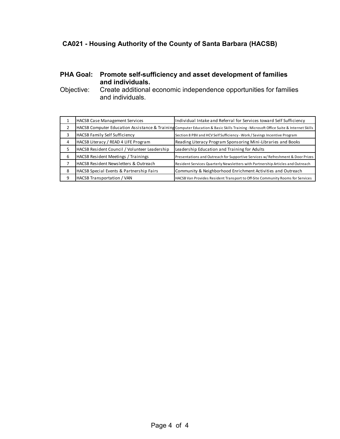#### **PHA Goal: Promote self-sufficiency and asset development of families and individuals.**

Objective: Create additional economic independence opportunities for families and individuals.

|   | <b>HACSB Case Management Services</b>         | Individual Intake and Referral for Services toward Self Sufficiency                                                                  |  |
|---|-----------------------------------------------|--------------------------------------------------------------------------------------------------------------------------------------|--|
|   |                                               | HACSB Computer Education Assistance & Training Computer Education & Basic Skills Training - Microsoft Office Suite & Internet Skills |  |
| 3 | <b>HACSB Family Self Sufficiency</b>          | Section 8 PBV and HCV Self Sufficiency - Work / Savings Incentive Program                                                            |  |
| 4 | HACSB Literacy / READ 4 LIFE Program          | Reading Literacy Program Sponsoring Mini-Libraries and Books                                                                         |  |
| 5 | HACSB Resident Council / Volunteer Leadership | Leadership Education and Training for Adults                                                                                         |  |
| 6 | HACSB Resident Meetings / Trainings           | Presentations and Outreach for Supportive Services w/ Refreshment & Door Prizes                                                      |  |
|   | HACSB Resident Newsletters & Outreach         | Resident Services Quarterly Newsletters with Partnership Articles and Outreach                                                       |  |
| 8 | HACSB Special Events & Partnership Fairs      | Community & Neighborhood Enrichment Activities and Outreach                                                                          |  |
| 9 | <b>HACSB Transportation / VAN</b>             | HACSB Van Provides Resident Transport to Off-Site Community Rooms for Services                                                       |  |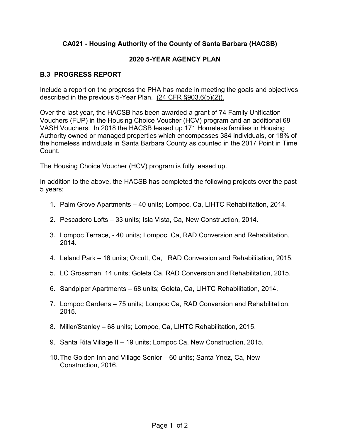#### **2020 5-YEAR AGENCY PLAN**

#### **B.3 PROGRESS REPORT**

described in the previous 5-Year Plan. <u>(24 CFR §903.6(b)(2)).</u> Include a report on the progress the PHA has made in meeting the goals and objectives

 VASH Vouchers. In 2018 the HACSB leased up 171 Homeless families in Housing Over the last year, the HACSB has been awarded a grant of 74 Family Unification Vouchers (FUP) in the Housing Choice Voucher (HCV) program and an additional 68 Authority owned or managed properties which encompasses 384 individuals, or 18% of the homeless individuals in Santa Barbara County as counted in the 2017 Point in Time Count.

The Housing Choice Voucher (HCV) program is fully leased up.

 In addition to the above, the HACSB has completed the following projects over the past 5 years:

- 1. Palm Grove Apartments 40 units; Lompoc, Ca, LIHTC Rehabilitation, 2014.
- 2. Pescadero Lofts 33 units; Isla Vista, Ca, New Construction, 2014.
- 3. Lompoc Terrace, 40 units; Lompoc, Ca, RAD Conversion and Rehabilitation, 2014.
- 4. Leland Park 16 units; Orcutt, Ca, RAD Conversion and Rehabilitation, 2015.
- 5. LC Grossman, 14 units; Goleta Ca, RAD Conversion and Rehabilitation, 2015.
- 6. Sandpiper Apartments 68 units; Goleta, Ca, LIHTC Rehabilitation, 2014.
- 7. Lompoc Gardens 75 units; Lompoc Ca, RAD Conversion and Rehabilitation, 2015.
- 8. Miller/Stanley 68 units; Lompoc, Ca, LIHTC Rehabilitation, 2015.
- 9. Santa Rita Village II 19 units; Lompoc Ca, New Construction, 2015.
- 10.The Golden Inn and Village Senior 60 units; Santa Ynez, Ca, New Construction, 2016.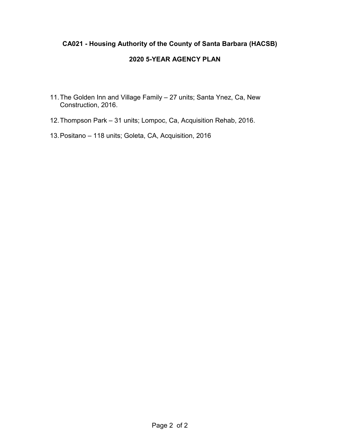#### **2020 5-YEAR AGENCY PLAN**

- 11.The Golden Inn and Village Family 27 units; Santa Ynez, Ca, New Construction, 2016.
- 12.Thompson Park 31 units; Lompoc, Ca, Acquisition Rehab, 2016.
- 13.Positano 118 units; Goleta, CA, Acquisition, 2016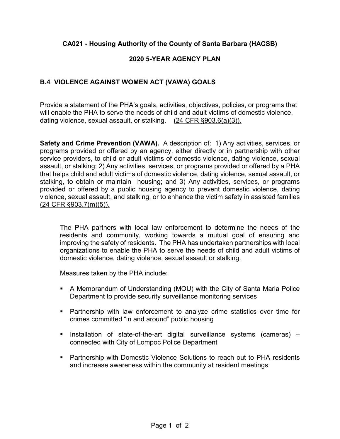#### **2020 5-YEAR AGENCY PLAN**

#### **B.4 VIOLENCE AGAINST WOMEN ACT (VAWA) GOALS**

dating violence, sexual assault, or stalking. <u>(24 CFR §903.6(a)(3)).</u> Provide a statement of the PHA's goals, activities, objectives, policies, or programs that will enable the PHA to serve the needs of child and adult victims of domestic violence,

 **Safety and Crime Prevention (VAWA).** A description of: 1) Any activities, services, or programs provided or offered by an agency, either directly or in partnership with other service providers, to child or adult victims of domestic violence, dating violence, sexual assault, or stalking; 2) Any activities, services, or programs provided or offered by a PHA that helps child and adult victims of domestic violence, dating violence, sexual assault, or stalking, to obtain or maintain housing; and 3) Any activities, services, or programs provided or offered by a public housing agency to prevent domestic violence, dating violence, sexual assault, and stalking, or to enhance the victim safety in assisted families (24 CFR §903.7(m)(5)).

 The PHA partners with local law enforcement to determine the needs of the residents and community, working towards a mutual goal of ensuring and improving the safety of residents. The PHA has undertaken partnerships with local organizations to enable the PHA to serve the needs of child and adult victims of domestic violence, dating violence, sexual assault or stalking.

Measures taken by the PHA include:

- A Memorandum of Understanding (MOU) with the City of Santa Maria Police Department to provide security surveillance monitoring services
- Partnership with law enforcement to analyze crime statistics over time for crimes committed "in and around" public housing
- connected with City of Lompoc Police Department ▪ Installation of state-of-the-art digital surveillance systems (cameras) –
- Partnership with Domestic Violence Solutions to reach out to PHA residents and increase awareness within the community at resident meetings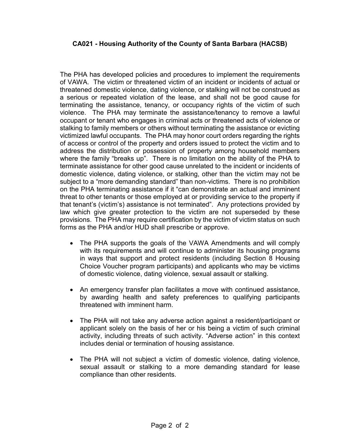of VAWA. The victim or threatened victim of an incident or incidents of actual or violence. The PHA may terminate the assistance/tenancy to remove a lawful victimized lawful occupants. The PHA may honor court orders regarding the rights where the family "breaks up". There is no limitation on the ability of the PHA to domestic violence, dating violence, or stalking, other than the victim may not be subject to a "more demanding standard" than non-victims. There is no prohibition The PHA has developed policies and procedures to implement the requirements threatened domestic violence, dating violence, or stalking will not be construed as a serious or repeated violation of the lease, and shall not be good cause for terminating the assistance, tenancy, or occupancy rights of the victim of such occupant or tenant who engages in criminal acts or threatened acts of violence or stalking to family members or others without terminating the assistance or evicting of access or control of the property and orders issued to protect the victim and to address the distribution or possession of property among household members terminate assistance for other good cause unrelated to the incident or incidents of on the PHA terminating assistance if it "can demonstrate an actual and imminent threat to other tenants or those employed at or providing service to the property if that tenant's (victim's) assistance is not terminated". Any protections provided by law which give greater protection to the victim are not superseded by these provisions. The PHA may require certification by the victim of victim status on such forms as the PHA and/or HUD shall prescribe or approve.

- of domestic violence, dating violence, sexual assault or stalking. • The PHA supports the goals of the VAWA Amendments and will comply with its requirements and will continue to administer its housing programs in ways that support and protect residents (including Section 8 Housing Choice Voucher program participants) and applicants who may be victims
- An emergency transfer plan facilitates a move with continued assistance, by awarding health and safety preferences to qualifying participants threatened with imminent harm.
- The PHA will not take any adverse action against a resident/participant or applicant solely on the basis of her or his being a victim of such criminal activity, including threats of such activity. "Adverse action" in this context includes denial or termination of housing assistance.
- The PHA will not subject a victim of domestic violence, dating violence, sexual assault or stalking to a more demanding standard for lease compliance than other residents.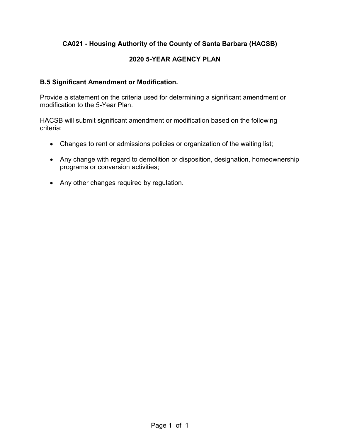#### **2020 5-YEAR AGENCY PLAN**

#### **B.5 Significant Amendment or Modification.**

 Provide a statement on the criteria used for determining a significant amendment or modification to the 5-Year Plan.

 HACSB will submit significant amendment or modification based on the following criteria:

- Changes to rent or admissions policies or organization of the waiting list;
- Any change with regard to demolition or disposition, designation, homeownership programs or conversion activities;
- Any other changes required by regulation.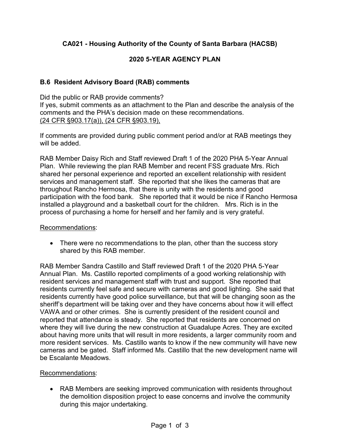#### **2020 5-YEAR AGENCY PLAN**

#### **B.6 Resident Advisory Board (RAB) comments**

Did the public or RAB provide comments? If yes, submit comments as an attachment to the Plan and describe the analysis of the comments and the PHA's decision made on these recommendations. (24 CFR §903.17(a)), (24 CFR §903.19),

 If comments are provided during public comment period and/or at RAB meetings they will be added.

 RAB Member Daisy Rich and Staff reviewed Draft 1 of the 2020 PHA 5-Year Annual Plan. While reviewing the plan RAB Member and recent FSS graduate Mrs. Rich shared her personal experience and reported an excellent relationship with resident services and management staff. She reported that she likes the cameras that are throughout Rancho Hermosa, that there is unity with the residents and good installed a playground and a basketball court for the children. Mrs. Rich is in the process of purchasing a home for herself and her family and is very grateful. participation with the food bank. She reported that it would be nice if Rancho Hermosa

#### Recommendations:

 shared by this RAB member. • There were no recommendations to the plan, other than the success story

 RAB Member Sandra Castillo and Staff reviewed Draft 1 of the 2020 PHA 5-Year Annual Plan. Ms. Castillo reported compliments of a good working relationship with resident services and management staff with trust and support. She reported that residents currently have good police surveillance, but that will be changing soon as the sheriff's department will be taking over and they have concerns about how it will effect VAWA and or other crimes. She is currently president of the resident council and more resident services. Ms. Castillo wants to know if the new community will have new cameras and be gated. Staff informed Ms. Castillo that the new development name will be Escalante Meadows residents currently feel safe and secure with cameras and good lighting. She said that reported that attendance is steady. She reported that residents are concerned on where they will live during the new construction at Guadalupe Acres. They are excited about having more units that will result in more residents, a larger community room and

#### Recommendations:

• RAB Members are seeking improved communication with residents throughout the demolition disposition project to ease concerns and involve the community during this major undertaking.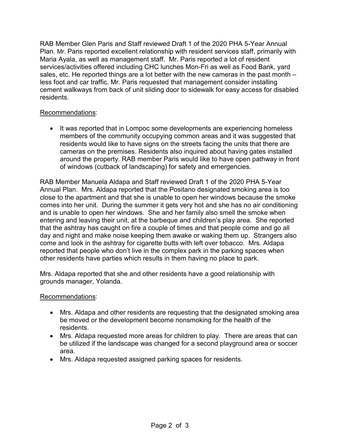Maria Ayala, as well as management staff. Mr. Paris reported a lot of resident sales, etc. He reported things are a lot better with the new cameras in the past month – less foot and car traffic. Mr. Paris requested that management consider installing cement walkways from back of unit sliding door to sidewalk for easy access for disabled RAB Member Glen Paris and Staff reviewed Draft 1 of the 2020 PHA 5-Year Annual Plan. Mr. Paris reported excellent relationship with resident services staff, primarily with services/activities offered including CHC lunches Mon-Fri as well as Food Bank, yard residents.

#### Recommendations:

• It was reported that in Lompoc some developments are experiencing homeless members of the community occupying common areas and it was suggested that residents would like to have signs on the streets facing the units that there are cameras on the premises. Residents also inquired about having gates installed around the property. RAB member Paris would like to have open pathway in front of windows (cutback of landscaping) for safety and emergencies.

 Annual Plan. Mrs. Aldapa reported that the Positano designated smoking area is too close to the apartment and that she is unable to open her windows because the smoke comes into her unit. During the summer it gets very hot and she has no air conditioning and is unable to open her windows. She and her family also smell the smoke when that the ashtray has caught on fire a couple of times and that people come and go all day and night and make noise keeping them awake or waking them up. Strangers also come and look in the ashtray for cigarette butts with left over tobacco. Mrs. Aldapa other residents have parties which results in them having no place to park. RAB Member Manuela Aldapa and Staff reviewed Draft 1 of the 2020 PHA 5-Year entering and leaving their unit, at the barbeque and children's play area. She reported reported that people who don't live in the complex park in the parking spaces when

other residents have parties which results in them having no place to park.<br>Mrs. Aldapa reported that she and other residents have a good relationship with grounds manager, Yolanda.

#### Recommendations:

- Mrs. Aldapa and other residents are requesting that the designated smoking area be moved or the development become nonsmoking for the health of the residents.
- Mrs. Aldapa requested more areas for children to play. There are areas that can be utilized if the landscape was changed for a second playground area or soccer area.
- Mrs. Aldapa requested assigned parking spaces for residents.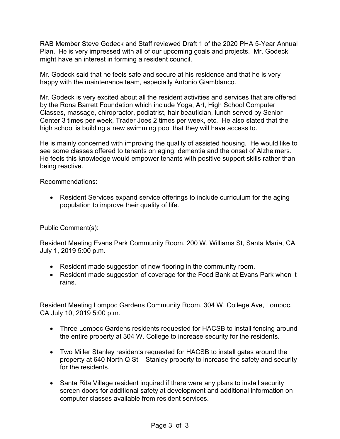Plan. He is very impressed with all of our upcoming goals and projects. Mr. Godeck RAB Member Steve Godeck and Staff reviewed Draft 1 of the 2020 PHA 5-Year Annual might have an interest in forming a resident council.

 Mr. Godeck said that he feels safe and secure at his residence and that he is very happy with the maintenance team, especially Antonio Giamblanco.

happy with the maintenance team, especially Antonio Giamblanco.<br>Mr. Godeck is very excited about all the resident activities and services that are offered Classes, massage, chiropractor, podiatrist, hair beautician, lunch served by Senior Center 3 times per week, Trader Joes 2 times per week, etc. He also stated that the high school is building a new swimming pool that they will have access to. by the Rona Barrett Foundation which include Yoga, Art, High School Computer

 see some classes offered to tenants on aging, dementia and the onset of Alzheimers. He feels this knowledge would empower tenants with positive support skills rather than He is mainly concerned with improving the quality of assisted housing. He would like to being reactive.

#### Recommendations:

• Resident Services expand service offerings to include curriculum for the aging population to improve their quality of life.

#### Public Comment(s):

 Resident Meeting Evans Park Community Room, 200 W. Williams St, Santa Maria, CA July 1, 2019 5:00 p.m.

- Resident made suggestion of new flooring in the community room.
- Resident made suggestion of coverage for the Food Bank at Evans Park when it rains.

Resident Meeting Lompoc Gardens Community Room, 304 W. College Ave, Lompoc, CA July 10, 2019 5:00 p.m.

- the entire property at 304 W. College to increase security for the residents. • Three Lompoc Gardens residents requested for HACSB to install fencing around
- Two Miller Stanley residents requested for HACSB to install gates around the property at 640 North Q St – Stanley property to increase the safety and security for the residents.
- Santa Rita Village resident inquired if there were any plans to install security screen doors for additional safety at development and additional information on computer classes available from resident services.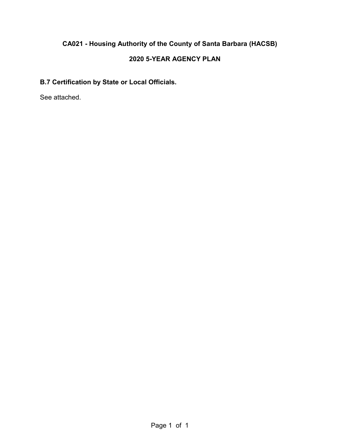#### **2020 5-YEAR AGENCY PLAN**

### **B.7 Certification by State or Local Officials.**

See attached.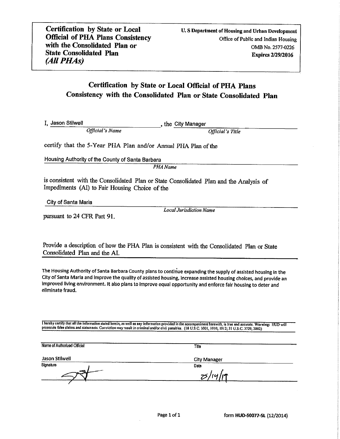#### Certification by State or Local Official of PHA Plans Consistency with the Consolidated Plan or State Consolidated Plan

I, Jason Stilwell (*Official's Name*), the City Manager (*Official's Title*)

 $\epsilon_{\mu}$  that the  $\epsilon_{\mu}$ 

certify that the 5-Year PHA Plan and/or Annual PHA Plan of the

Housing Authority of the County of Santa Barbara<br>PHA Name

is consistent with the Consolidated Plan or State Consolidated Plan and the Analysis of Impediments (AI) to Fair Housing Choice of the

City of Santa Maria

pursuant to 24 CFR Part 91.

**Local Jurisdiction Name** 

Provide a description of how the PHA Plan is consistent with the Consolidated Plan or State Consolidated Plan and the AI.

The Housing Authority of Santa Barbara County plans to continue expanding the supply of assisted housing in the City of Santa Maria and Improve the quality of assisted housing, Increase assisted housing choices, and provide Improved living environment, It also plans to improve equal opportunity and enforce fair housing to deter and eliminate fraud.

I hereby certify that all the information stated herein, as well as any information provided in the accompaniment herewith, is true and accurate. Warning: HUD will prosecute false convey to the statement may may result in capture and and may information provided in the accompaniment nerewith, is if to

| Name of Authorized Official | Title               |  |
|-----------------------------|---------------------|--|
| Jason Stilwell              | <b>City Manager</b> |  |
| Signature                   | Date                |  |
| $-1$                        | 75/14/19            |  |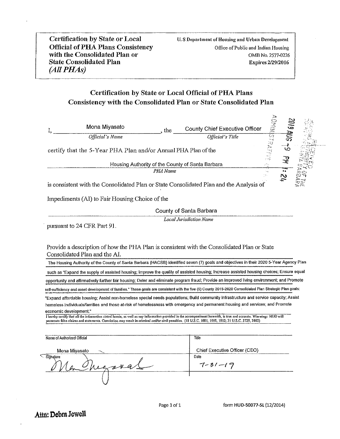#### Certification by State or Local Official of PHA Plans Consistency with the Consolidated Plan or State Consolidated Plan

|                                    | Mona Miyasato                                                  | the.     | IVUSINO<br><b>County Chief Executive Officer</b>                                                                                                                                                                                                                                                                                                                                                                                                                                                                                                                                                       |
|------------------------------------|----------------------------------------------------------------|----------|--------------------------------------------------------------------------------------------------------------------------------------------------------------------------------------------------------------------------------------------------------------------------------------------------------------------------------------------------------------------------------------------------------------------------------------------------------------------------------------------------------------------------------------------------------------------------------------------------------|
|                                    | Official's Name                                                |          | Official's Title                                                                                                                                                                                                                                                                                                                                                                                                                                                                                                                                                                                       |
|                                    | certify that the 5-Year PHA Plan and/or Annual PHA Plan of the |          | ಲ                                                                                                                                                                                                                                                                                                                                                                                                                                                                                                                                                                                                      |
|                                    |                                                                |          | Housing Authority of the County of Santa Barbara                                                                                                                                                                                                                                                                                                                                                                                                                                                                                                                                                       |
|                                    |                                                                | PHA Name | $\sim$                                                                                                                                                                                                                                                                                                                                                                                                                                                                                                                                                                                                 |
|                                    |                                                                |          | $\sim$<br>is consistent with the Consolidated Plan or State Consolidated Plan and the Analysis of                                                                                                                                                                                                                                                                                                                                                                                                                                                                                                      |
|                                    | Impediments (AI) to Fair Housing Choice of the                 |          |                                                                                                                                                                                                                                                                                                                                                                                                                                                                                                                                                                                                        |
|                                    |                                                                |          | County of Santa Barbara                                                                                                                                                                                                                                                                                                                                                                                                                                                                                                                                                                                |
|                                    |                                                                |          | <b>Local Jurisdiction Name</b>                                                                                                                                                                                                                                                                                                                                                                                                                                                                                                                                                                         |
|                                    | pursuant to 24 CFR Part 91.                                    |          |                                                                                                                                                                                                                                                                                                                                                                                                                                                                                                                                                                                                        |
|                                    |                                                                |          | such as "Expand the supply of assisted housing; Improve the quality of assisted housing; Increase assisted housing choices; Ensure equal<br>opportunity and affirmatively further fair housing; Deter and eliminate program fraud; Provide an improved living environment; and Promote                                                                                                                                                                                                                                                                                                                 |
|                                    |                                                                |          | self-sufficiency and asset development of families." These goals are consistent with the five (5) County 2015-2020 Consolidated Plan Strategic Plan goals:                                                                                                                                                                                                                                                                                                                                                                                                                                             |
|                                    | economic development."                                         |          | "Expand affordable housing; Assist non-homeless special needs populations; Build community infrastructure and service capacity; Assist<br>homeless individuals/families and those at-risk of homelessness with emergency and permanent housing and services; and Promote<br>I hereby certify that all the information stated herein, as well as any information provided in the accompaniment herewith, is true and accurate. Warning: HUD will<br>prosecute false claims and statements. Conviction may result in criminal and/or civil penalties. (18 U.S.C. 1001, 1010, 1012; 31 U.S.C. 3729, 3802) |
|                                    |                                                                |          |                                                                                                                                                                                                                                                                                                                                                                                                                                                                                                                                                                                                        |
|                                    | Name of Authorized Official                                    |          | Title                                                                                                                                                                                                                                                                                                                                                                                                                                                                                                                                                                                                  |
|                                    | Mona Miyasato                                                  |          | Chief Executive Officer (CEO)                                                                                                                                                                                                                                                                                                                                                                                                                                                                                                                                                                          |
| $\overline{\phantom{a}}$ Signature | 204                                                            |          | Date<br>$7 - 31 - 19$                                                                                                                                                                                                                                                                                                                                                                                                                                                                                                                                                                                  |
|                                    |                                                                |          |                                                                                                                                                                                                                                                                                                                                                                                                                                                                                                                                                                                                        |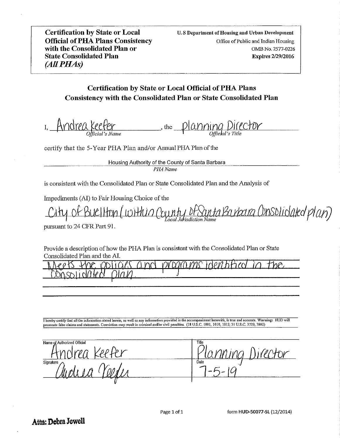Certification by State or Local **Official of PHA Plans Consistency** with the Consolidated Plan or **State Consolidated Plan**  $(AII PHAS)$ 

#### Certification by State or Local Official of PHA Plans Consistency with the Consolidated Plan or State Consolidated Plan

I, Andrea Keefer ( $\frac{1}{\sqrt{2}}$  the Planning Director (Office) care (Officially

that the 5-Year Plan and  $\theta$  of the 5-Year Plan and  $\theta$  and  $\theta$  and  $\theta$  and  $\theta$  and  $\theta$  and  $\theta$  the Housing-Housing-Housing-Housing-Housing-Housing-Housing-Housing-Housing-Housing-Housing-Housing-Housing-Housing-Ho

certify that the 5-Year PHA Plan and/or Annual PHA Plan of the

Housing Authority of the County of Santa Barbara<br>PHA Name  $\overline{A}$  and  $\overline{A}$  to Fair Housing  $C$ 

is consistent with the Consolidated Plan or State Consolidated Plan and the Analysis of

Impediments (AI) to Fair Housing Choice of the<br>City Of BUC|HOM (WHMIA COUNTY DESANTA BAYACIA CONSOLICATED Plan)

pursuant to 24 CFR Part 91.

Provide a description of how the PHA Plan is consistent with the Consolidated Plan or State Consolidated Plan and the AI.

|                | $\sim$<br>Ш<br>ю |   |
|----------------|------------------|---|
|                |                  | ╼ |
| --<br>---<br>Ī |                  |   |
|                |                  |   |

I hereby certify that all the information stated herein, as well as any information provided in the accompaniment herewith, is true and accurate. Warning: HUD will false claims and statements. Conviction may result in criminal and/or civil penalties. (18 US.C. 1001, 1010, 1012; 31 U.S.C. 3729, 3802)

Name of Authorized Official Title: Planning Director Director Director Director Director Director Director Director Director Director Director Director Director Director Director Director Director Director Director Director Director Director Director ming Director  $H$ Signature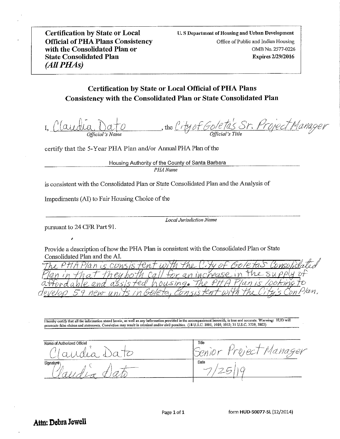Certification by State or Local **Official of PHA Plans Consistency** with the Consolidated Plan or **State Consolidated Plan** (All PHAs)

#### Certification by State or Local Official of PHA Plans Consistency with the Consolidated Plan or State Consolidated Plan

I, Claudia Dato (the City of Goleta's Sr. Project Manager)  $\text{Official's Name}$  can be  $\text{Official's Title}$  can be  $\text{Official's Title}$  that the  $\text{Official's Title}$ 

certify that the 5-Year PHA Plan and/or Annual PHA Plan of the

Housing Authority of the County of Santa Barbara<br>
PHA Name

is consistent with the Consolidated Plan or State Consolidated Plan and the Analysis of

Impediments (AI) to Fair Housing Choice of the

pursuant to 24 CFR Part 91.

ś

Jurisdiction Name) pursuant to 24 CFR Part 91.

Provide a description of how the PHA Plan is consistent with the Consolidated Plan or State Consolidated Plan and the AI.

| orsolidated<br>e comsis femt<br>With the Pity of          |
|-----------------------------------------------------------|
| $inc\%$ pase<br>$Q_{\ell}$<br>$\rightarrow$ $\rightarrow$ |
| housing. The<br>ルバチェ<br>ana                               |
| Plan<br>Golet<br>エコノト<br>ز بر بر سر                       |

I hereby certify that all the information stated herein, as well as any information provided in the accompaniment herewith, is true and accurate. Warning: HUD will false claims and statements. Conviction may result in criminal and/or civil penalties. (18 US.C. 1001, 1010, 1012; 31 U.S.C. 3729, 3802)

Tille<br>Senior Project Manager Name of Authorized Official dia Da  $\begin{pmatrix} 1 \\ 2 \end{pmatrix}$ Signature Date:  $\left( \begin{array}{cc} 1 & 1 \\ 1 & 1 \end{array} \right)$